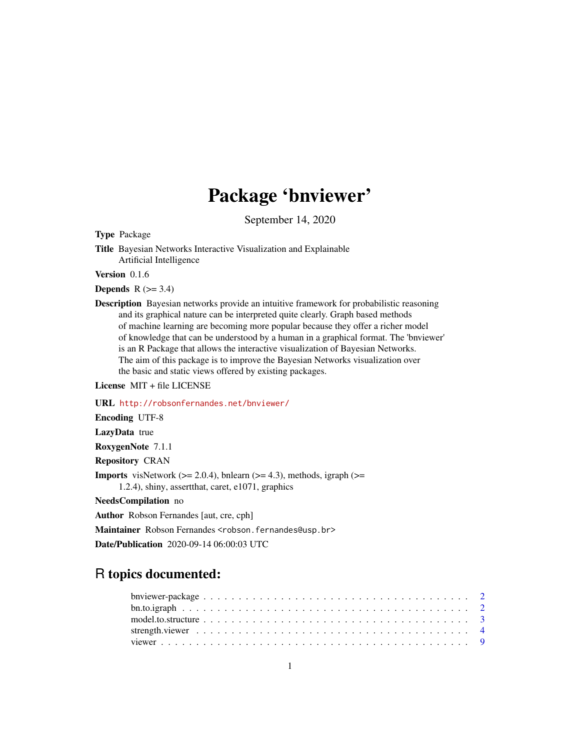## Package 'bnviewer'

September 14, 2020

Type Package

Title Bayesian Networks Interactive Visualization and Explainable Artificial Intelligence

Version 0.1.6

#### **Depends**  $R$  ( $>= 3.4$ )

Description Bayesian networks provide an intuitive framework for probabilistic reasoning and its graphical nature can be interpreted quite clearly. Graph based methods of machine learning are becoming more popular because they offer a richer model of knowledge that can be understood by a human in a graphical format. The 'bnviewer' is an R Package that allows the interactive visualization of Bayesian Networks. The aim of this package is to improve the Bayesian Networks visualization over the basic and static views offered by existing packages.

License MIT + file LICENSE

URL <http://robsonfernandes.net/bnviewer/>

Encoding UTF-8

LazyData true

RoxygenNote 7.1.1

Repository CRAN

**Imports** visNetwork ( $>= 2.0.4$ ), bnlearn ( $>= 4.3$ ), methods, igraph ( $>= 1.4$ ) 1.2.4), shiny, assertthat, caret, e1071, graphics

NeedsCompilation no

Author Robson Fernandes [aut, cre, cph]

Maintainer Robson Fernandes <robson.fernandes@usp.br>

Date/Publication 2020-09-14 06:00:03 UTC

### R topics documented: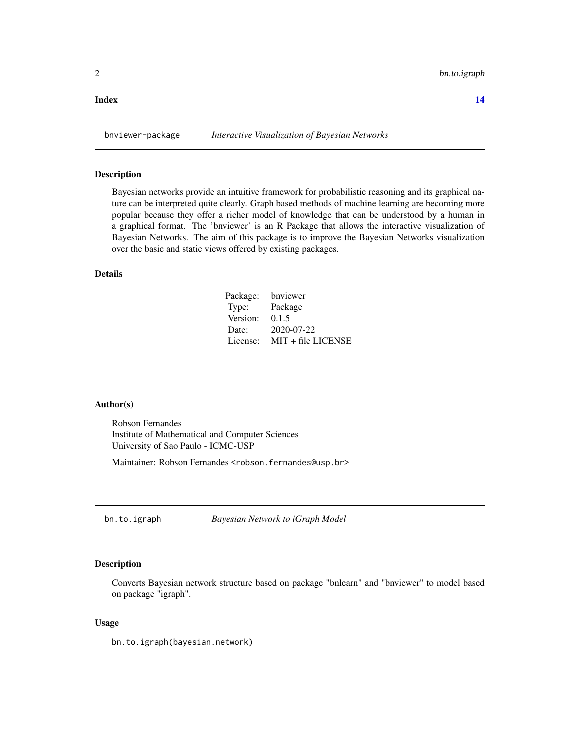#### <span id="page-1-0"></span>**Index** 2008 **[14](#page-13-0)**

#### Description

Bayesian networks provide an intuitive framework for probabilistic reasoning and its graphical nature can be interpreted quite clearly. Graph based methods of machine learning are becoming more popular because they offer a richer model of knowledge that can be understood by a human in a graphical format. The 'bnviewer' is an R Package that allows the interactive visualization of Bayesian Networks. The aim of this package is to improve the Bayesian Networks visualization over the basic and static views offered by existing packages.

#### Details

| Package: | bnviewer             |
|----------|----------------------|
| Type:    | Package              |
| Version: | 0.1.5                |
| Date:    | 2020-07-22           |
| License: | $MIT + file LICENSE$ |

#### Author(s)

Robson Fernandes Institute of Mathematical and Computer Sciences University of Sao Paulo - ICMC-USP

Maintainer: Robson Fernandes <robson.fernandes@usp.br>

bn.to.igraph *Bayesian Network to iGraph Model*

#### Description

Converts Bayesian network structure based on package "bnlearn" and "bnviewer" to model based on package "igraph".

#### Usage

bn.to.igraph(bayesian.network)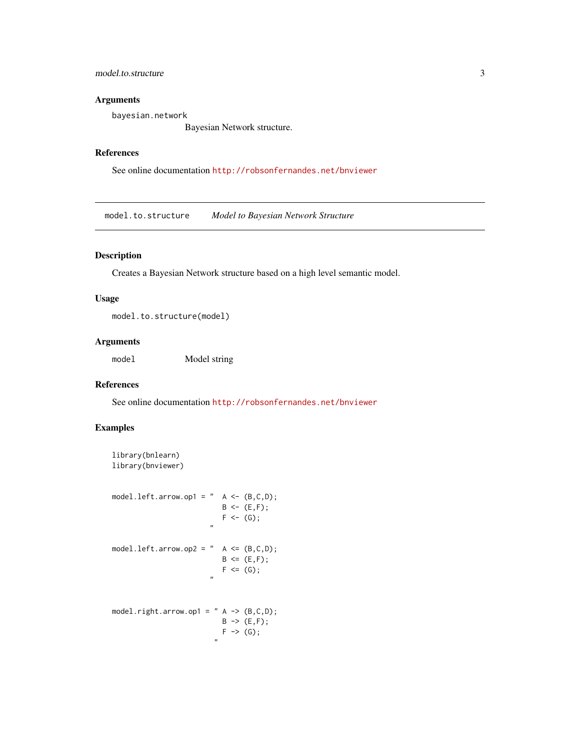#### <span id="page-2-0"></span>model.to.structure 3

#### Arguments

bayesian.network

Bayesian Network structure.

#### References

See online documentation <http://robsonfernandes.net/bnviewer>

model.to.structure *Model to Bayesian Network Structure*

#### Description

Creates a Bayesian Network structure based on a high level semantic model.

#### Usage

model.to.structure(model)

#### Arguments

model Model string

#### References

See online documentation <http://robsonfernandes.net/bnviewer>

#### Examples

```
library(bnlearn)
library(bnviewer)
model.left.arrow.op1 = " A \leftarrow (B, C, D);
                              B \le - (E, F);F \leftarrow (G);
                             "
model.left.arrow.op2 = " A \leq (B, C, D);
                              B \le (E, F);F \le (G);"
model.right.arrow.op1 = " A \rightarrow (B, C, D);
                               B \rightarrow (E, F);F \rightarrow (G);
                              "
```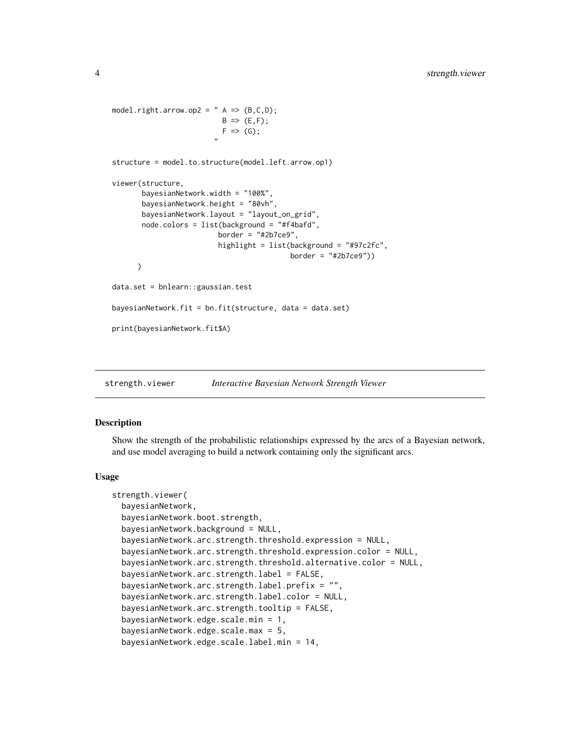```
model.right.arrow.op2 = " A \Rightarrow (B, C, D);
                          B \implies (E, F);F \implies (G);"
structure = model.to.structure(model.left.arrow.op1)
viewer(structure,
       bayesianNetwork.width = "100%",
       bayesianNetwork.height = "80vh",
       bayesianNetwork.layout = "layout_on_grid",
       node.colors = list(background = "#f4bafd",
                          border = "#2b7ce9",highlight = list(background = "#97c2fc",
                                            border = "#2b7ce9"))
      )
data.set = bnlearn::gaussian.test
bayesianNetwork.fit = bn.fit(structure, data = data.set)
print(bayesianNetwork.fit$A)
```
strength.viewer *Interactive Bayesian Network Strength Viewer*

#### Description

Show the strength of the probabilistic relationships expressed by the arcs of a Bayesian network, and use model averaging to build a network containing only the significant arcs.

#### Usage

```
strength.viewer(
 bayesianNetwork,
  bayesianNetwork.boot.strength,
 bayesianNetwork.background = NULL,
  bayesianNetwork.arc.strength.threshold.expression = NULL,
  bayesianNetwork.arc.strength.threshold.expression.color = NULL,
  bayesianNetwork.arc.strength.threshold.alternative.color = NULL,
  bayesianNetwork.arc.strength.label = FALSE,
 bayesianNetwork.arc.strength.label.prefix = "",
  bayesianNetwork.arc.strength.label.color = NULL,
  bayesianNetwork.arc.strength.tooltip = FALSE,
  bayesianNetwork.edge.scale.min = 1,
  bayesianNetwork.edge.scale.max = 5,
 bayesianNetwork.edge.scale.label.min = 14,
```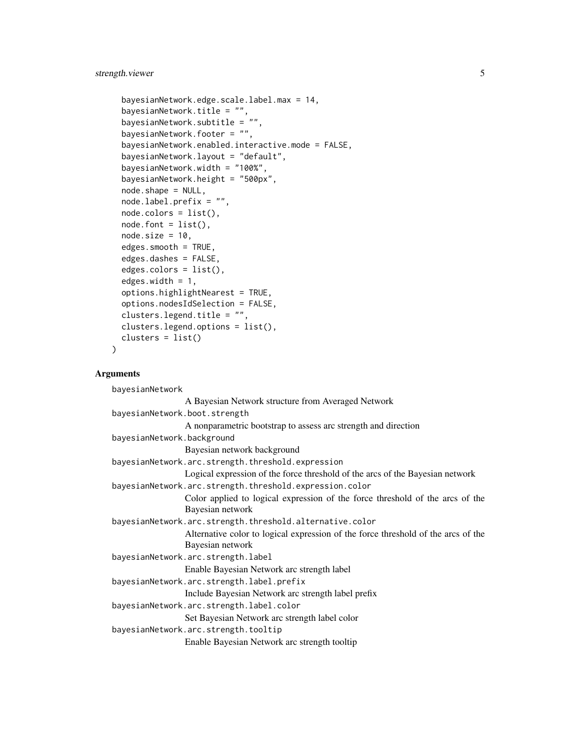```
bayesianNetwork.edge.scale.label.max = 14,
bayesianNetwork.title = ".
bayesianNetwork.subtitle = "",
bayesianNetwork.footer = "",
bayesianNetwork.enabled.interactive.mode = FALSE,
bayesianNetwork.layout = "default",
bayesianNetwork.width = "100%",
bayesianNetwork.height = "500px",
node.shape = NULL,
node.label.prefix = "",
node.colors = list(),
node.font = list(),node.size = 10,edges.smooth = TRUE,
edges.dashes = FALSE,
edges. colors = list(),edges.width = 1,
options.highlightNearest = TRUE,
options.nodesIdSelection = FALSE,
clusters.legend.title = "",
clusters.legend.options = list(),
clusters = list()
```
#### Arguments

)

```
bayesianNetwork
                 A Bayesian Network structure from Averaged Network
bayesianNetwork.boot.strength
                 A nonparametric bootstrap to assess arc strength and direction
bayesianNetwork.background
                 Bayesian network background
bayesianNetwork.arc.strength.threshold.expression
                 Logical expression of the force threshold of the arcs of the Bayesian network
bayesianNetwork.arc.strength.threshold.expression.color
                 Color applied to logical expression of the force threshold of the arcs of the
                 Bayesian network
bayesianNetwork.arc.strength.threshold.alternative.color
                 Alternative color to logical expression of the force threshold of the arcs of the
                 Bayesian network
bayesianNetwork.arc.strength.label
                 Enable Bayesian Network arc strength label
bayesianNetwork.arc.strength.label.prefix
                 Include Bayesian Network arc strength label prefix
bayesianNetwork.arc.strength.label.color
                 Set Bayesian Network arc strength label color
bayesianNetwork.arc.strength.tooltip
                 Enable Bayesian Network arc strength tooltip
```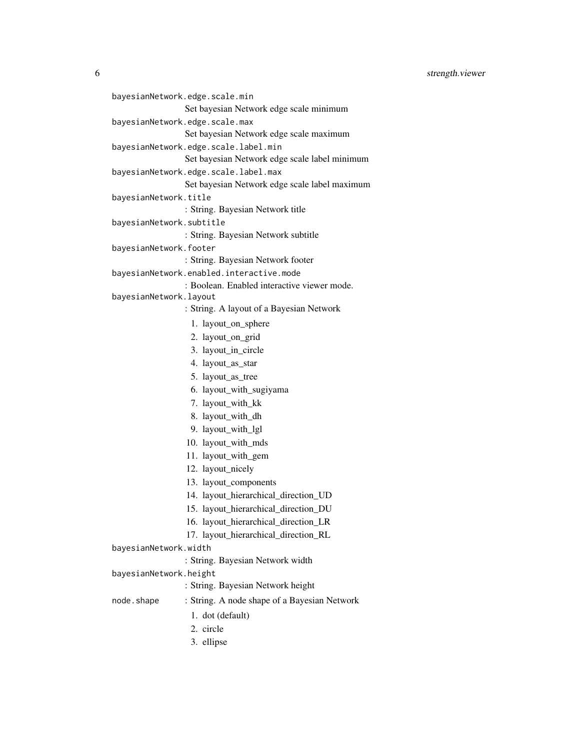6 strength.viewer

```
bayesianNetwork.edge.scale.min
                 Set bayesian Network edge scale minimum
bayesianNetwork.edge.scale.max
                 Set bayesian Network edge scale maximum
bayesianNetwork.edge.scale.label.min
                 Set bayesian Network edge scale label minimum
bayesianNetwork.edge.scale.label.max
                 Set bayesian Network edge scale label maximum
bayesianNetwork.title
                 : String. Bayesian Network title
bayesianNetwork.subtitle
                 : String. Bayesian Network subtitle
bayesianNetwork.footer
                 : String. Bayesian Network footer
bayesianNetwork.enabled.interactive.mode
                 : Boolean. Enabled interactive viewer mode.
bayesianNetwork.layout
                 : String. A layout of a Bayesian Network
                   1. layout_on_sphere
                  2. layout_on_grid
                  3. layout in circle
                  4. layout_as_star
                  5. layout_as_tree
                  6. layout_with_sugiyama
                  7. layout_with_kk
                  8. layout_with_dh
                  9. layout_with_lgl
                 10. layout_with_mds
                 11. layout_with_gem
                 12. layout_nicely
                 13. layout_components
                 14. layout_hierarchical_direction_UD
                 15. layout_hierarchical_direction_DU
                 16. layout_hierarchical_direction_LR
                 17. layout_hierarchical_direction_RL
bayesianNetwork.width
                 : String. Bayesian Network width
bayesianNetwork.height
                 : String. Bayesian Network height
node.shape : String. A node shape of a Bayesian Network
                   1. dot (default)
                  2. circle
                  3. ellipse
```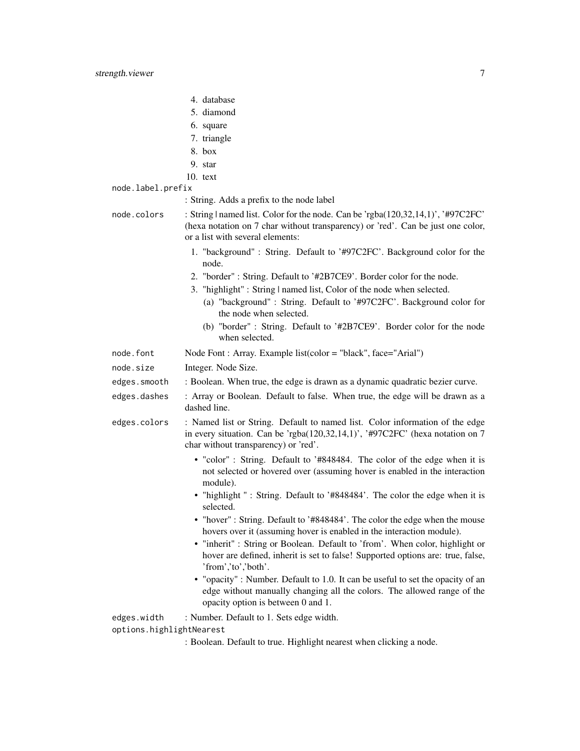- 5. diamond
- 6. square
- 7. triangle
- 8. box
- 9. star
- 10. text
- node.label.prefix
	- : String. Adds a prefix to the node label

node.colors : String | named list. Color for the node. Can be 'rgba(120,32,14,1)', '#97C2FC' (hexa notation on 7 char without transparency) or 'red'. Can be just one color, or a list with several elements:

- 1. "background" : String. Default to '#97C2FC'. Background color for the node.
- 2. "border" : String. Default to '#2B7CE9'. Border color for the node.
- 3. "highlight" : String | named list, Color of the node when selected.
	- (a) "background" : String. Default to '#97C2FC'. Background color for the node when selected.
	- (b) "border" : String. Default to '#2B7CE9'. Border color for the node when selected.
- node.font Node Font : Array. Example list(color = "black", face="Arial")
- node.size Integer. Node Size.
- edges.smooth : Boolean. When true, the edge is drawn as a dynamic quadratic bezier curve.
- edges.dashes : Array or Boolean. Default to false. When true, the edge will be drawn as a dashed line.
- edges.colors : Named list or String. Default to named list. Color information of the edge in every situation. Can be 'rgba(120,32,14,1)', '#97C2FC' (hexa notation on 7 char without transparency) or 'red'.
	- "color" : String. Default to '#848484. The color of the edge when it is not selected or hovered over (assuming hover is enabled in the interaction module).
	- "highlight " : String. Default to '#848484'. The color the edge when it is selected.
	- "hover" : String. Default to '#848484'. The color the edge when the mouse hovers over it (assuming hover is enabled in the interaction module).
	- "inherit" : String or Boolean. Default to 'from'. When color, highlight or hover are defined, inherit is set to false! Supported options are: true, false, 'from','to','both'.
	- "opacity" : Number. Default to 1.0. It can be useful to set the opacity of an edge without manually changing all the colors. The allowed range of the opacity option is between 0 and 1.

edges.width : Number. Default to 1. Sets edge width. options.highlightNearest

<sup>:</sup> Boolean. Default to true. Highlight nearest when clicking a node.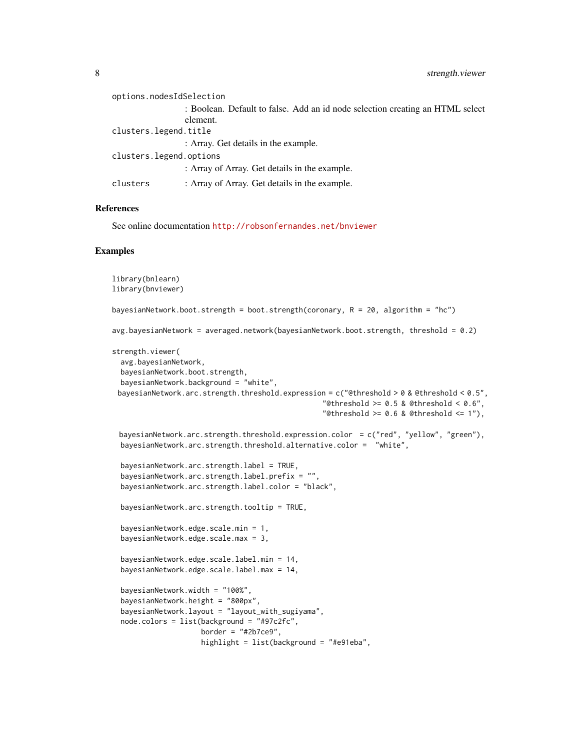| options.nodesIdSelection |                                                                               |
|--------------------------|-------------------------------------------------------------------------------|
|                          | : Boolean. Default to false. Add an id node selection creating an HTML select |
|                          | element.                                                                      |
| clusters.legend.title    |                                                                               |
|                          | : Array. Get details in the example.                                          |
| clusters.legend.options  |                                                                               |
|                          | : Array of Array. Get details in the example.                                 |
| clusters                 | : Array of Array. Get details in the example.                                 |

#### References

See online documentation <http://robsonfernandes.net/bnviewer>

#### Examples

```
library(bnlearn)
library(bnviewer)
bayesianNetwork.boot.strength = boot.strength(coronary, R = 20, algorithm = "hc")
avg.bayesianNetwork = averaged.network(bayesianNetwork.boot.strength, threshold = 0.2)
strength.viewer(
 avg.bayesianNetwork,
 bayesianNetwork.boot.strength,
 bayesianNetwork.background = "white",
 bayesianNetwork.arc.strength.threshold.expression = c("Qthreshold > 0 \& Qthreshold < 0.5","@threshold >= 0.5 & @threshold < 0.6",
                                                  "@threshold >= 0.6 & @threshold <= 1"),
 bayesianNetwork.arc.strength.threshold.expression.color = c("red", "yellow", "green"),
 bayesianNetwork.arc.strength.threshold.alternative.color = "white",
 bayesianNetwork.arc.strength.label = TRUE,
 bayesianNetwork.arc.strength.label.prefix = "",
 bayesianNetwork.arc.strength.label.color = "black",
 bayesianNetwork.arc.strength.tooltip = TRUE,
 bayesianNetwork.edge.scale.min = 1,
 bayesianNetwork.edge.scale.max = 3,
 bayesianNetwork.edge.scale.label.min = 14,
 bayesianNetwork.edge.scale.label.max = 14,
 bayesianNetwork.width = "100%",
 bayesianNetwork.height = "800px",
 bayesianNetwork.layout = "layout_with_sugiyama",
 node.colors = list(background = "#97c2fc",
                    border = "#2b7ce9",highlight = list(background = "#e91eba",
```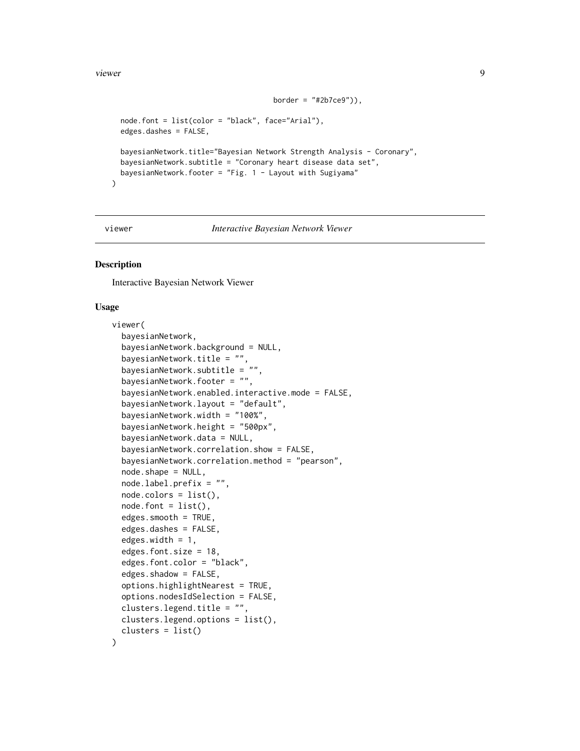#### <span id="page-8-0"></span>viewer 9

```
border = "#2b7ce9")),
node.font = list(color = "black", face="Arial"),
edges.dashes = FALSE,
bayesianNetwork.title="Bayesian Network Strength Analysis - Coronary",
bayesianNetwork.subtitle = "Coronary heart disease data set",
bayesianNetwork.footer = "Fig. 1 - Layout with Sugiyama"
```
 $\mathcal{L}$ 

viewer *Interactive Bayesian Network Viewer*

#### Description

Interactive Bayesian Network Viewer

#### Usage

```
viewer(
  bayesianNetwork,
  bayesianNetwork.background = NULL,
  bayesianNetwork.title = "",
  bayesianNetwork.subtitle = "",
  bayesianNetwork.footer = "",
  bayesianNetwork.enabled.interactive.mode = FALSE,
  bayesianNetwork.layout = "default",
  bayesianNetwork.width = "100%",
  bayesianNetwork.height = "500px",
  bayesianNetwork.data = NULL,
  bayesianNetwork.correlation.show = FALSE,
  bayesianNetwork.correlation.method = "pearson",
  node.shape = NULL,
  node.label.prefix = "",
  node.colors = list(),
  node.font = list(),edges.smooth = TRUE,
  edges.dashes = FALSE,
  edges.width = 1,
  edges.font.size = 18,
  edges.font.color = "black",
  edges.shadow = FALSE,
  options.highlightNearest = TRUE,
  options.nodesIdSelection = FALSE,
  clusters.legend.title = "",
  clusters.legend.options = list(),
  clusters = list()
)
```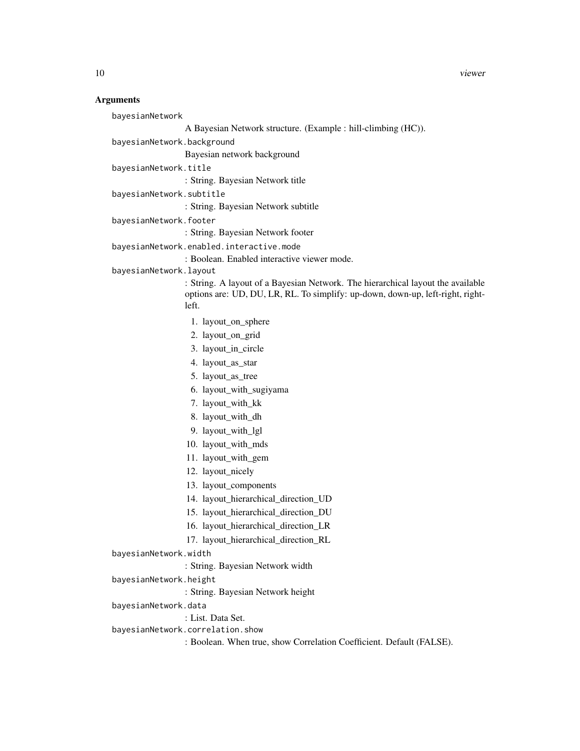#### **Arguments**

bayesianNetwork

```
A Bayesian Network structure. (Example : hill-climbing (HC)).
```
bayesianNetwork.background

Bayesian network background

bayesianNetwork.title

: String. Bayesian Network title

bayesianNetwork.subtitle

: String. Bayesian Network subtitle

bayesianNetwork.footer

: String. Bayesian Network footer

bayesianNetwork.enabled.interactive.mode

: Boolean. Enabled interactive viewer mode.

bayesianNetwork.layout

: String. A layout of a Bayesian Network. The hierarchical layout the available options are: UD, DU, LR, RL. To simplify: up-down, down-up, left-right, rightleft.

- 1. layout\_on\_sphere
- 2. layout\_on\_grid
- 3. layout\_in\_circle
- 4. layout\_as\_star
- 5. layout\_as\_tree
- 6. layout\_with\_sugiyama
- 7. layout\_with\_kk
- 8. layout\_with\_dh
- 9. layout\_with\_lgl
- 10. layout\_with\_mds
- 11. layout\_with\_gem
- 12. layout\_nicely
- 13. layout\_components
- 14. layout\_hierarchical\_direction\_UD
- 15. layout\_hierarchical\_direction\_DU
- 16. layout\_hierarchical\_direction\_LR
- 17. layout\_hierarchical\_direction\_RL

- : String. Bayesian Network width
- bayesianNetwork.height

: String. Bayesian Network height

bayesianNetwork.data

: List. Data Set.

bayesianNetwork.correlation.show

: Boolean. When true, show Correlation Coefficient. Default (FALSE).

bayesianNetwork.width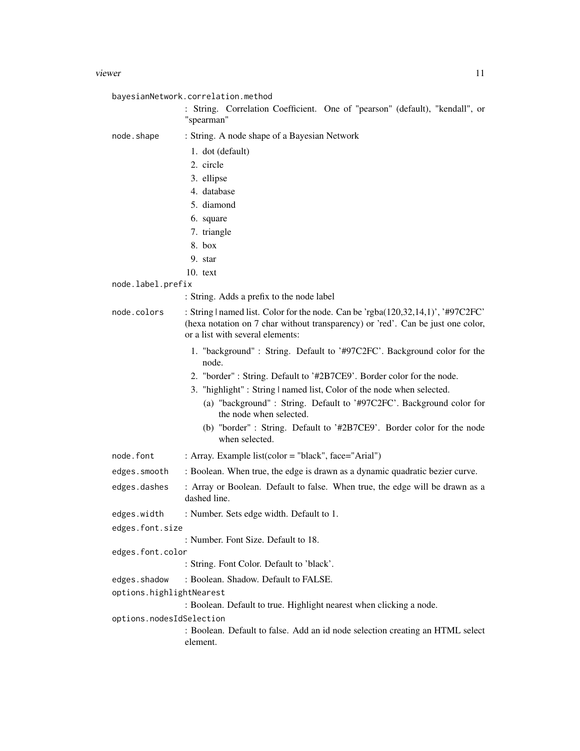|                          | bayesianNetwork.correlation.method                                                                                                                                                                      |
|--------------------------|---------------------------------------------------------------------------------------------------------------------------------------------------------------------------------------------------------|
|                          | : String. Correlation Coefficient. One of "pearson" (default), "kendall", or<br>"spearman"                                                                                                              |
| node.shape               | : String. A node shape of a Bayesian Network                                                                                                                                                            |
|                          | 1. dot (default)                                                                                                                                                                                        |
|                          | 2. circle                                                                                                                                                                                               |
|                          | 3. ellipse                                                                                                                                                                                              |
|                          | 4. database                                                                                                                                                                                             |
|                          | 5. diamond                                                                                                                                                                                              |
|                          | 6. square                                                                                                                                                                                               |
|                          | 7. triangle                                                                                                                                                                                             |
|                          | $8.$ box                                                                                                                                                                                                |
|                          | 9. star                                                                                                                                                                                                 |
|                          | $10.$ text                                                                                                                                                                                              |
| node.label.prefix        |                                                                                                                                                                                                         |
|                          | : String. Adds a prefix to the node label                                                                                                                                                               |
| node.colors              | : String   named list. Color for the node. Can be 'rgba(120,32,14,1)', '#97C2FC'<br>(hexa notation on 7 char without transparency) or 'red'. Can be just one color,<br>or a list with several elements: |
|                          | 1. "background": String. Default to '#97C2FC'. Background color for the<br>node.                                                                                                                        |
|                          | 2. "border": String. Default to '#2B7CE9'. Border color for the node.                                                                                                                                   |
|                          | 3. "highlight": String   named list, Color of the node when selected.                                                                                                                                   |
|                          | (a) "background": String. Default to '#97C2FC'. Background color for<br>the node when selected.                                                                                                         |
|                          | (b) "border" : String. Default to '#2B7CE9'. Border color for the node<br>when selected.                                                                                                                |
| node.font                | : Array. Example list(color = "black", face="Arial")                                                                                                                                                    |
| edges.smooth             | : Boolean. When true, the edge is drawn as a dynamic quadratic bezier curve.                                                                                                                            |
| edges.dashes             | : Array or Boolean. Default to false. When true, the edge will be drawn as a<br>dashed line.                                                                                                            |
| edges.width              | : Number. Sets edge width. Default to 1.                                                                                                                                                                |
| edges.font.size          |                                                                                                                                                                                                         |
|                          | : Number. Font Size. Default to 18.                                                                                                                                                                     |
| edges.font.color         |                                                                                                                                                                                                         |
|                          | : String. Font Color. Default to 'black'.                                                                                                                                                               |
| edges.shadow             | : Boolean. Shadow. Default to FALSE.                                                                                                                                                                    |
| options.highlightNearest |                                                                                                                                                                                                         |
|                          | : Boolean. Default to true. Highlight nearest when clicking a node.                                                                                                                                     |
| options.nodesIdSelection |                                                                                                                                                                                                         |
|                          | : Boolean. Default to false. Add an id node selection creating an HTML select<br>element.                                                                                                               |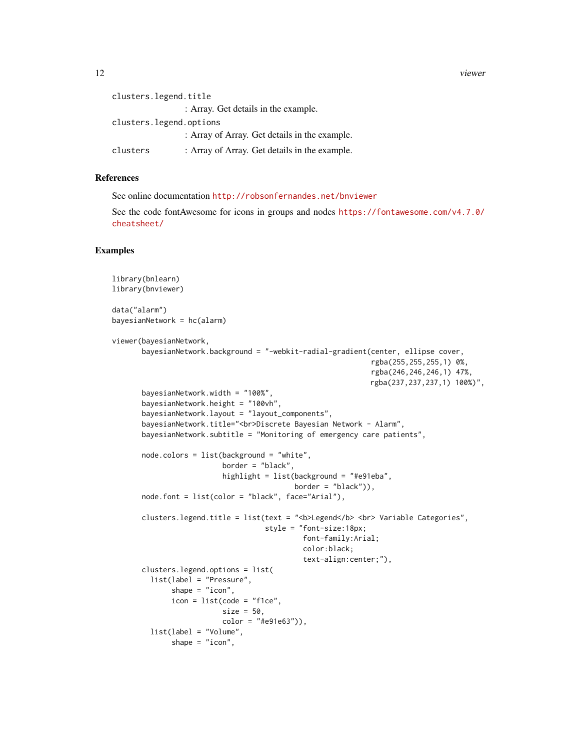12 viewer

```
clusters.legend.title
                 : Array. Get details in the example.
clusters.legend.options
                 : Array of Array. Get details in the example.
clusters : Array of Array. Get details in the example.
```
#### References

See online documentation <http://robsonfernandes.net/bnviewer>

See the code fontAwesome for icons in groups and nodes [https://fontawesome.com/v4.7.0/](https://fontawesome.com/v4.7.0/cheatsheet/) [cheatsheet/](https://fontawesome.com/v4.7.0/cheatsheet/)

#### Examples

```
library(bnlearn)
library(bnviewer)
data("alarm")
bayesianNetwork = hc(alarm)
viewer(bayesianNetwork,
      bayesianNetwork.background = "-webkit-radial-gradient(center, ellipse cover,
                                                             rgba(255,255,255,1) 0%,
                                                             rgba(246,246,246,1) 47%,
                                                             rgba(237,237,237,1) 100%)",
      bayesianNetwork.width = "100%",
      bayesianNetwork.height = "100vh",
      bayesianNetwork.layout = "layout_components",
      bayesianNetwork.title="<br>Discrete Bayesian Network - Alarm",
      bayesianNetwork.subtitle = "Monitoring of emergency care patients",
      node.colors = list(background = "white",
                          border = "black",
                          highlight = list(background = "#e91eba",
                                           border = "black"),
      node.font = list(color = "black", face="Arial"),
      clusters.legend.title = list(text = "<b>Legend</b> <br> Variable Categories",
                                    style = "font-size:18px;
                                             font-family:Arial;
                                             color:black;
                                             text-align:center;"),
      clusters.legend.options = list(
        list(label = "Pressure",
              shape = "icon",icon = list(code = "f1ce",size = 50.
                         color = "#e91e63")),
        list(label = "Volume",
             shape = "icon",
```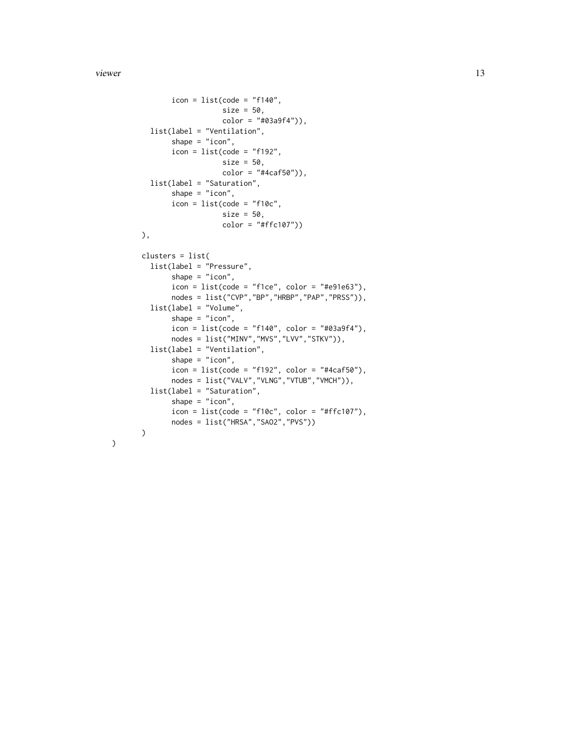#### viewer and the set of the set of the set of the set of the set of the set of the set of the set of the set of the set of the set of the set of the set of the set of the set of the set of the set of the set of the set of th

```
icon = list(code = "f140",size = 50,color = "#03a9f4")),
 list(label = "Ventilation",
      shape = "icon",
       icon = list(code = "f192",size = 50,
                  color = "#4caf50")),
 list(label = "Saturation",
      shape = "icon",icon = list(code = "f10c",size = 50,color = "#ffc107"))
),
clusters = list(
 list(label = "Pressure",
       shape = "icon",
       icon = list(code = "f1ce", color = "f4e91e63"),nodes = list("CVP","BP","HRBP","PAP","PRSS")),
 list(label = "Volume",
       shape = "icon",icon = list(code = "f140", color = "#03a9f4"),
      nodes = list("MINV","MVS","LVV","STKV")),
 list(label = "Ventilation",
       shape = "icon",
       icon = list(code = "f192", color = "#4caf50"),
      nodes = list("VALV","VLNG","VTUB","VMCH")),
 list(label = "Saturation",
      shape = "icon",
      icon = list(code = "f10c", color = "#ffc107"),
      nodes = list("HRSA","SAO2","PVS"))
)
```
)